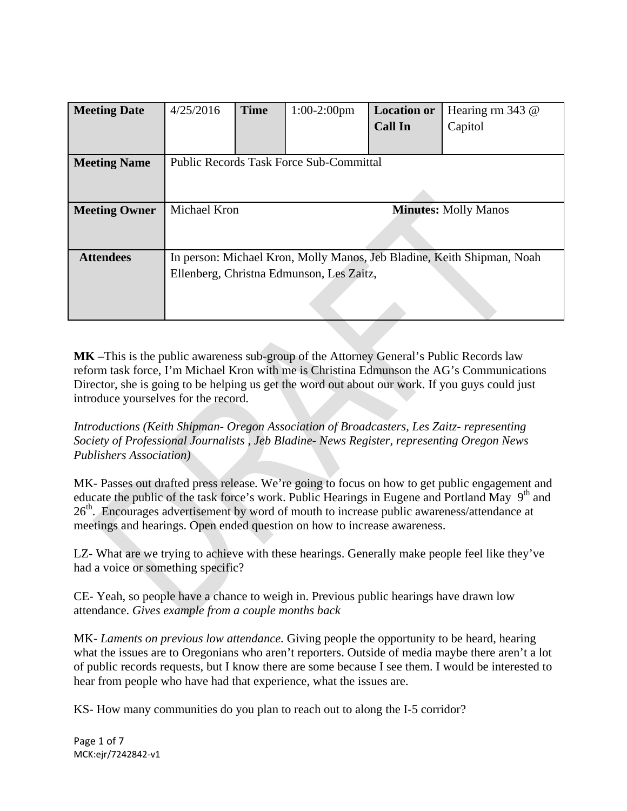| <b>Meeting Date</b>  | 4/25/2016                                                              | <b>Time</b> | $1:00-2:00$ pm | <b>Location or</b>          | Hearing rm $343$ @ |  |
|----------------------|------------------------------------------------------------------------|-------------|----------------|-----------------------------|--------------------|--|
|                      |                                                                        |             |                | <b>Call In</b>              | Capitol            |  |
|                      |                                                                        |             |                |                             |                    |  |
| <b>Meeting Name</b>  | <b>Public Records Task Force Sub-Committal</b>                         |             |                |                             |                    |  |
|                      |                                                                        |             |                |                             |                    |  |
|                      |                                                                        |             |                |                             |                    |  |
| <b>Meeting Owner</b> | <b>Michael Kron</b>                                                    |             |                | <b>Minutes: Molly Manos</b> |                    |  |
|                      |                                                                        |             |                |                             |                    |  |
|                      |                                                                        |             |                |                             |                    |  |
| <b>Attendees</b>     | In person: Michael Kron, Molly Manos, Jeb Bladine, Keith Shipman, Noah |             |                |                             |                    |  |
|                      | Ellenberg, Christna Edmunson, Les Zaitz,                               |             |                |                             |                    |  |
|                      |                                                                        |             |                |                             |                    |  |
|                      |                                                                        |             |                |                             |                    |  |

**MK –**This is the public awareness sub-group of the Attorney General's Public Records law reform task force, I'm Michael Kron with me is Christina Edmunson the AG's Communications Director, she is going to be helping us get the word out about our work. If you guys could just introduce yourselves for the record.

*Introductions (Keith Shipman- Oregon Association of Broadcasters, Les Zaitz- representing Society of Professional Journalists , Jeb Bladine- News Register, representing Oregon News Publishers Association)* 

MK- Passes out drafted press release*.* We're going to focus on how to get public engagement and educate the public of the task force's work. Public Hearings in Eugene and Portland May  $9<sup>th</sup>$  and 26<sup>th</sup>. Encourages advertisement by word of mouth to increase public awareness/attendance at meetings and hearings. Open ended question on how to increase awareness.

LZ- What are we trying to achieve with these hearings. Generally make people feel like they've had a voice or something specific?

CE- Yeah, so people have a chance to weigh in. Previous public hearings have drawn low attendance. *Gives example from a couple months back*

MK- *Laments on previous low attendance.* Giving people the opportunity to be heard, hearing what the issues are to Oregonians who aren't reporters. Outside of media maybe there aren't a lot of public records requests, but I know there are some because I see them. I would be interested to hear from people who have had that experience, what the issues are.

KS- How many communities do you plan to reach out to along the I-5 corridor?

Page 1 of 7 MCK:ejr/7242842‐v1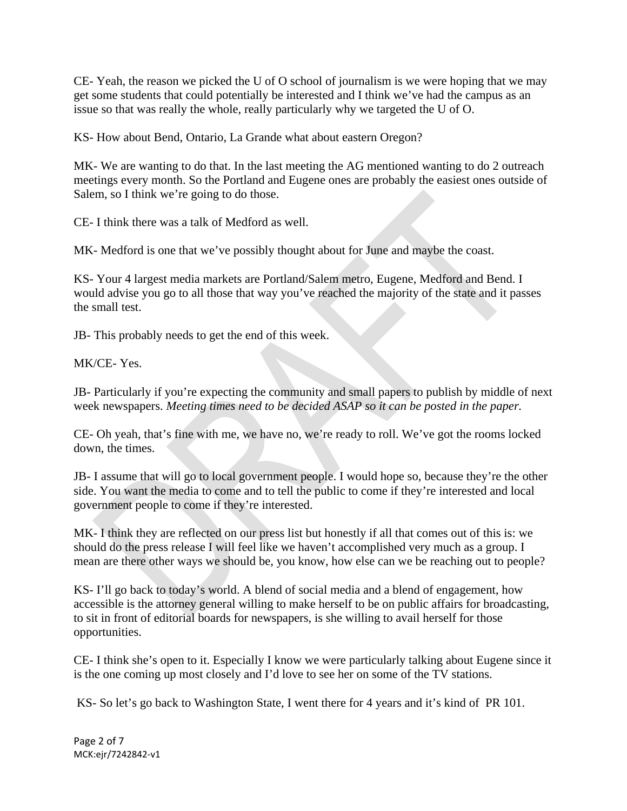CE- Yeah, the reason we picked the U of O school of journalism is we were hoping that we may get some students that could potentially be interested and I think we've had the campus as an issue so that was really the whole, really particularly why we targeted the U of O.

KS- How about Bend, Ontario, La Grande what about eastern Oregon?

MK- We are wanting to do that. In the last meeting the AG mentioned wanting to do 2 outreach meetings every month. So the Portland and Eugene ones are probably the easiest ones outside of Salem, so I think we're going to do those.

CE- I think there was a talk of Medford as well.

MK- Medford is one that we've possibly thought about for June and maybe the coast.

KS- Your 4 largest media markets are Portland/Salem metro, Eugene, Medford and Bend. I would advise you go to all those that way you've reached the majority of the state and it passes the small test.

JB- This probably needs to get the end of this week.

MK/CE- Yes.

JB- Particularly if you're expecting the community and small papers to publish by middle of next week newspapers. *Meeting times need to be decided ASAP so it can be posted in the paper.*

CE- Oh yeah, that's fine with me, we have no, we're ready to roll. We've got the rooms locked down, the times.

JB- I assume that will go to local government people. I would hope so, because they're the other side. You want the media to come and to tell the public to come if they're interested and local government people to come if they're interested.

MK- I think they are reflected on our press list but honestly if all that comes out of this is: we should do the press release I will feel like we haven't accomplished very much as a group. I mean are there other ways we should be, you know, how else can we be reaching out to people?

KS- I'll go back to today's world. A blend of social media and a blend of engagement, how accessible is the attorney general willing to make herself to be on public affairs for broadcasting, to sit in front of editorial boards for newspapers, is she willing to avail herself for those opportunities.

CE- I think she's open to it. Especially I know we were particularly talking about Eugene since it is the one coming up most closely and I'd love to see her on some of the TV stations.

KS- So let's go back to Washington State, I went there for 4 years and it's kind of PR 101.

Page 2 of 7 MCK:ejr/7242842‐v1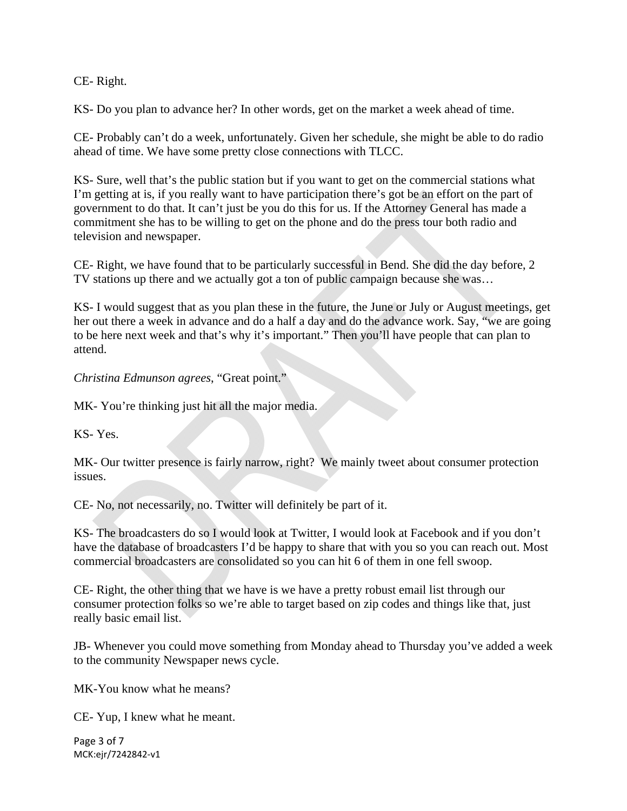CE- Right.

KS- Do you plan to advance her? In other words, get on the market a week ahead of time.

CE- Probably can't do a week, unfortunately. Given her schedule, she might be able to do radio ahead of time. We have some pretty close connections with TLCC.

KS- Sure, well that's the public station but if you want to get on the commercial stations what I'm getting at is, if you really want to have participation there's got be an effort on the part of government to do that. It can't just be you do this for us. If the Attorney General has made a commitment she has to be willing to get on the phone and do the press tour both radio and television and newspaper.

CE- Right, we have found that to be particularly successful in Bend. She did the day before, 2 TV stations up there and we actually got a ton of public campaign because she was…

KS- I would suggest that as you plan these in the future, the June or July or August meetings, get her out there a week in advance and do a half a day and do the advance work. Say, "we are going to be here next week and that's why it's important." Then you'll have people that can plan to attend.

*Christina Edmunson agrees*, "Great point."

MK- You're thinking just hit all the major media.

KS- Yes.

MK- Our twitter presence is fairly narrow, right? We mainly tweet about consumer protection issues.

CE- No, not necessarily, no. Twitter will definitely be part of it.

KS- The broadcasters do so I would look at Twitter, I would look at Facebook and if you don't have the database of broadcasters I'd be happy to share that with you so you can reach out. Most commercial broadcasters are consolidated so you can hit 6 of them in one fell swoop.

CE- Right, the other thing that we have is we have a pretty robust email list through our consumer protection folks so we're able to target based on zip codes and things like that, just really basic email list.

JB- Whenever you could move something from Monday ahead to Thursday you've added a week to the community Newspaper news cycle.

MK-You know what he means?

CE- Yup, I knew what he meant.

Page 3 of 7 MCK:ejr/7242842‐v1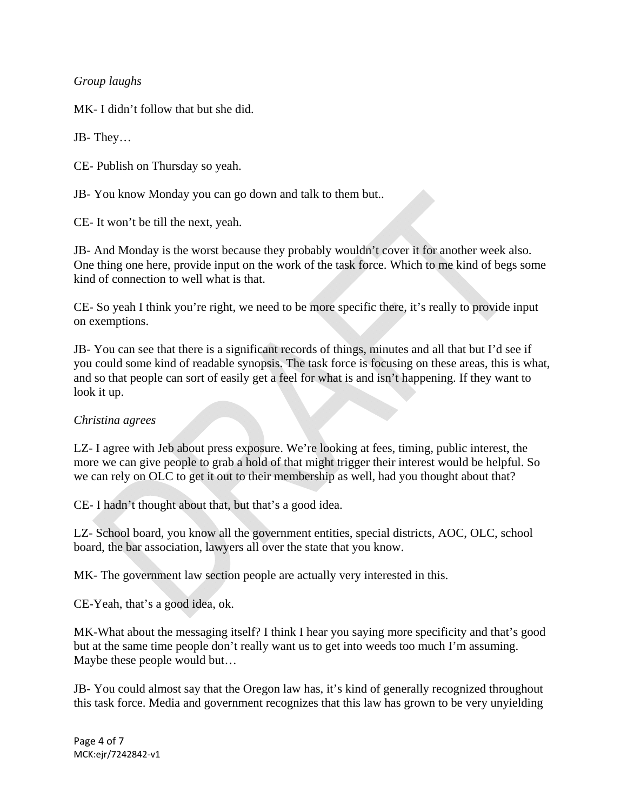*Group laughs* 

MK- I didn't follow that but she did.

JB- They…

CE- Publish on Thursday so yeah.

JB- You know Monday you can go down and talk to them but..

CE- It won't be till the next, yeah.

JB- And Monday is the worst because they probably wouldn't cover it for another week also. One thing one here, provide input on the work of the task force. Which to me kind of begs some kind of connection to well what is that.

CE- So yeah I think you're right, we need to be more specific there, it's really to provide input on exemptions.

JB- You can see that there is a significant records of things, minutes and all that but I'd see if you could some kind of readable synopsis. The task force is focusing on these areas, this is what, and so that people can sort of easily get a feel for what is and isn't happening. If they want to look it up.

## *Christina agrees*

LZ- I agree with Jeb about press exposure. We're looking at fees, timing, public interest, the more we can give people to grab a hold of that might trigger their interest would be helpful. So we can rely on OLC to get it out to their membership as well, had you thought about that?

CE- I hadn't thought about that, but that's a good idea.

LZ- School board, you know all the government entities, special districts, AOC, OLC, school board, the bar association, lawyers all over the state that you know.

MK- The government law section people are actually very interested in this.

CE-Yeah, that's a good idea, ok.

MK-What about the messaging itself? I think I hear you saying more specificity and that's good but at the same time people don't really want us to get into weeds too much I'm assuming. Maybe these people would but…

JB- You could almost say that the Oregon law has, it's kind of generally recognized throughout this task force. Media and government recognizes that this law has grown to be very unyielding

Page 4 of 7 MCK:ejr/7242842‐v1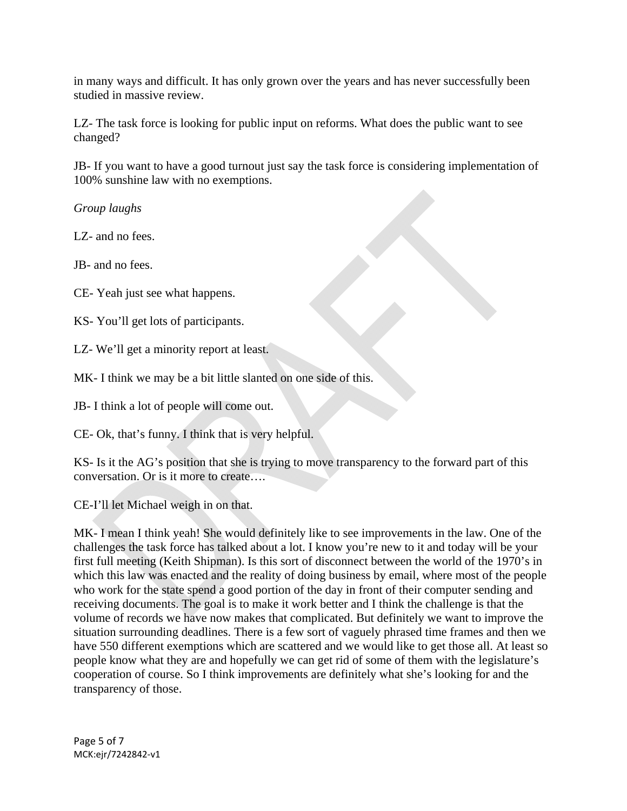in many ways and difficult. It has only grown over the years and has never successfully been studied in massive review.

LZ- The task force is looking for public input on reforms. What does the public want to see changed?

JB- If you want to have a good turnout just say the task force is considering implementation of 100% sunshine law with no exemptions.

*Group laughs* 

LZ- and no fees.

JB- and no fees.

CE- Yeah just see what happens.

KS- You'll get lots of participants.

LZ- We'll get a minority report at least.

MK- I think we may be a bit little slanted on one side of this.

JB- I think a lot of people will come out.

CE- Ok, that's funny. I think that is very helpful.

KS- Is it the AG's position that she is trying to move transparency to the forward part of this conversation. Or is it more to create….

CE-I'll let Michael weigh in on that.

MK- I mean I think yeah! She would definitely like to see improvements in the law. One of the challenges the task force has talked about a lot. I know you're new to it and today will be your first full meeting (Keith Shipman). Is this sort of disconnect between the world of the 1970's in which this law was enacted and the reality of doing business by email, where most of the people who work for the state spend a good portion of the day in front of their computer sending and receiving documents. The goal is to make it work better and I think the challenge is that the volume of records we have now makes that complicated. But definitely we want to improve the situation surrounding deadlines. There is a few sort of vaguely phrased time frames and then we have 550 different exemptions which are scattered and we would like to get those all. At least so people know what they are and hopefully we can get rid of some of them with the legislature's cooperation of course. So I think improvements are definitely what she's looking for and the transparency of those.

Page 5 of 7 MCK:ejr/7242842‐v1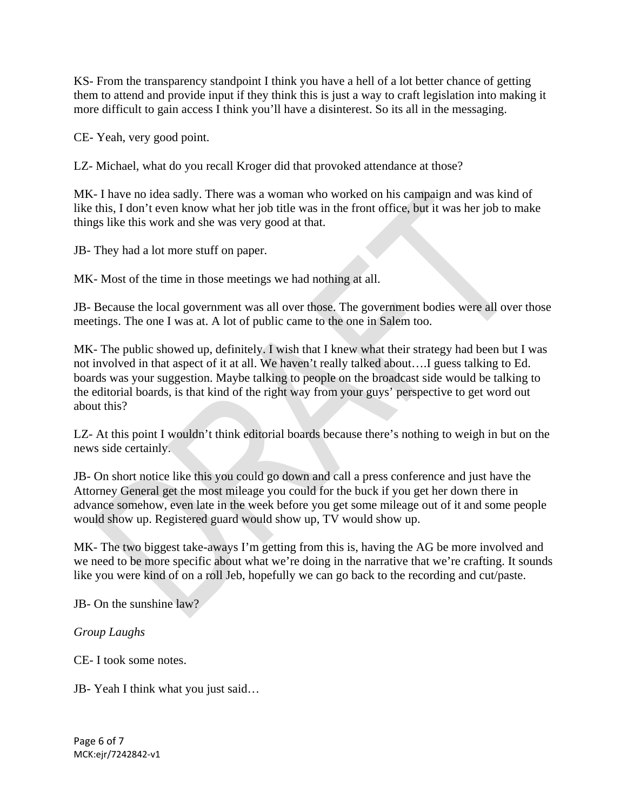KS- From the transparency standpoint I think you have a hell of a lot better chance of getting them to attend and provide input if they think this is just a way to craft legislation into making it more difficult to gain access I think you'll have a disinterest. So its all in the messaging.

CE- Yeah, very good point.

LZ- Michael, what do you recall Kroger did that provoked attendance at those?

MK- I have no idea sadly. There was a woman who worked on his campaign and was kind of like this, I don't even know what her job title was in the front office, but it was her job to make things like this work and she was very good at that.

JB- They had a lot more stuff on paper.

MK- Most of the time in those meetings we had nothing at all.

JB- Because the local government was all over those. The government bodies were all over those meetings. The one I was at. A lot of public came to the one in Salem too.

MK- The public showed up, definitely. I wish that I knew what their strategy had been but I was not involved in that aspect of it at all. We haven't really talked about….I guess talking to Ed. boards was your suggestion. Maybe talking to people on the broadcast side would be talking to the editorial boards, is that kind of the right way from your guys' perspective to get word out about this?

LZ- At this point I wouldn't think editorial boards because there's nothing to weigh in but on the news side certainly.

JB- On short notice like this you could go down and call a press conference and just have the Attorney General get the most mileage you could for the buck if you get her down there in advance somehow, even late in the week before you get some mileage out of it and some people would show up. Registered guard would show up, TV would show up.

MK- The two biggest take-aways I'm getting from this is, having the AG be more involved and we need to be more specific about what we're doing in the narrative that we're crafting. It sounds like you were kind of on a roll Jeb, hopefully we can go back to the recording and cut/paste.

JB- On the sunshine law?

*Group Laughs* 

CE- I took some notes.

JB- Yeah I think what you just said…

Page 6 of 7 MCK:ejr/7242842‐v1